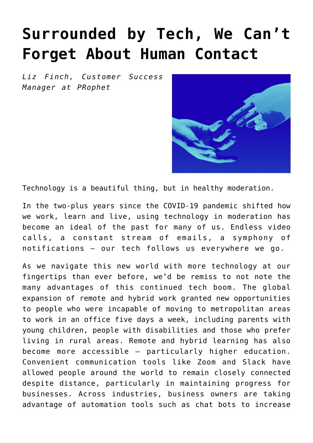## **[Surrounded by Tech, We Can't](https://www.commpro.biz/surrounded-by-tech-we-cant-forget-about-human-contact/) [Forget About Human Contact](https://www.commpro.biz/surrounded-by-tech-we-cant-forget-about-human-contact/)**

*Liz Finch, Customer Success Manager at [PRophet](https://www.prprophet.ai/)*



Technology is a beautiful thing, but in healthy moderation.

In the two-plus years since the COVID-19 pandemic shifted how we work, learn and live, using technology in moderation has become an ideal of the past for many of us. Endless video calls, a constant stream of emails, a symphony of notifications – our [tech](https://www.commpro.biz/comms-tech/) follows us everywhere we go.

As we navigate this new world with more technology at our fingertips than ever before, we'd be remiss to not note the many advantages of this continued tech boom. The global expansion of remote and hybrid work granted new opportunities to people who were incapable of moving to metropolitan areas to work in an office five days a week, including parents with young children, people with disabilities and those who prefer living in rural areas. Remote and hybrid learning has also become more accessible — particularly higher education. Convenient communication tools like Zoom and Slack have allowed people around the world to remain closely connected despite distance, particularly in maintaining progress for businesses. Across industries, business owners are taking advantage of automation tools such as chat bots to increase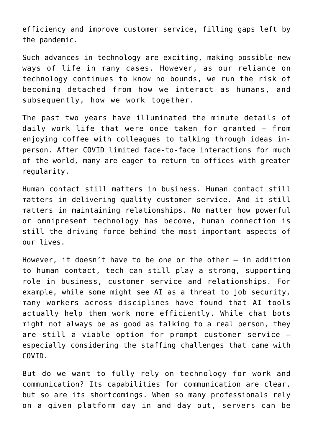efficiency and improve customer service, filling gaps left by the pandemic.

Such advances in technology are exciting, making possible new ways of life in many cases. However, as our reliance on technology continues to know no bounds, we run the risk of becoming detached from how we interact as humans, and subsequently, how we work together.

The past two years have illuminated the minute details of daily work life that were once taken for granted — from enjoying coffee with colleagues to talking through ideas inperson. After COVID limited face-to-face interactions for much of the world, many are eager to return to offices with greater regularity.

Human contact still matters in business. Human contact still matters in delivering quality customer service. And it still matters in maintaining relationships. No matter how powerful or omnipresent technology has become, human connection is still the driving force behind the most important aspects of our lives.

However, it doesn't have to be one or the other — in addition to human contact, tech can still play a strong, supporting role in business, customer service and relationships. For example, while some might see AI as a threat to job security, many workers across disciplines have found that AI tools actually help them work more efficiently. While chat bots might not always be as good as talking to a real person, they are still a viable option for prompt customer service especially considering the staffing challenges that came with COVID.

But do we want to fully rely on technology for work and communication? Its capabilities for communication are clear, but so are its shortcomings. When so many professionals rely on a given platform day in and day out, servers can be